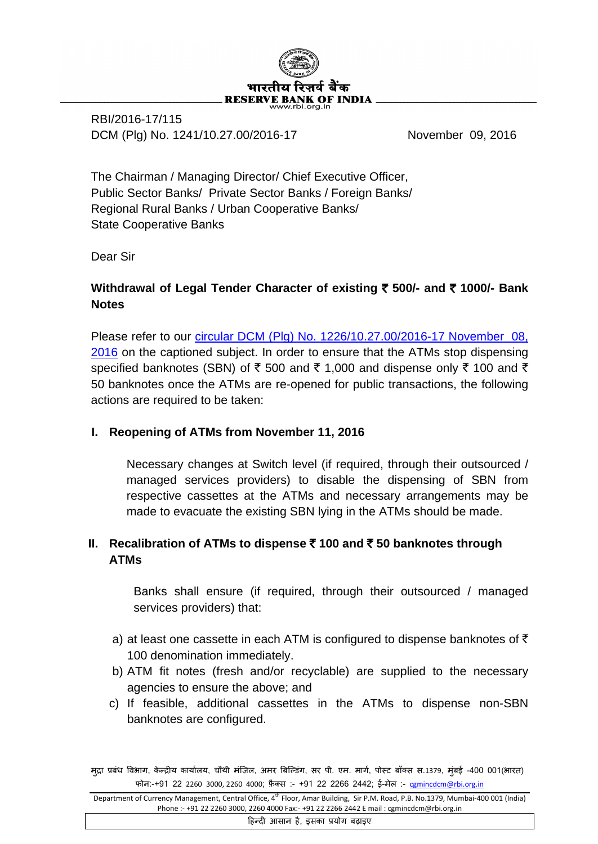

RBI/2016-17/115 DCM (Plg) No. 1241/10.27.00/2016-17 November 09, 2016

The Chairman / Managing Director/ Chief Executive Officer, Public Sector Banks/ Private Sector Banks / Foreign Banks/ Regional Rural Banks / Urban Cooperative Banks/ State Cooperative Banks

Dear Sir

# **Withdrawal of Legal Tender Character of existing** ` **500/- and** ` **1000/- Bank Notes**

Please refer to our circular DCM (Plg) [No. 1226/10.27.00/2016-17 November 08,](https://www.rbi.org.in/Scripts/NotificationUser.aspx?Id=10684&Mode=0)  [2016](https://www.rbi.org.in/Scripts/NotificationUser.aspx?Id=10684&Mode=0) on the captioned subject. In order to ensure that the ATMs stop dispensing specified banknotes (SBN) of  $\bar{\tau}$  500 and  $\bar{\tau}$  1,000 and dispense only  $\bar{\tau}$  100 and  $\bar{\tau}$ 50 banknotes once the ATMs are re-opened for public transactions, the following actions are required to be taken:

## **I. Reopening of ATMs from November 11, 2016**

Necessary changes at Switch level (if required, through their outsourced / managed services providers) to disable the dispensing of SBN from respective cassettes at the ATMs and necessary arrangements may be made to evacuate the existing SBN lying in the ATMs should be made.

## **II. Recalibration of ATMs to dispense** ` **100 and** ` **50 banknotes through ATMs**

Banks shall ensure (if required, through their outsourced / managed services providers) that:

- a) at least one cassette in each ATM is configured to dispense banknotes of  $\bar{\tau}$ 100 denomination immediately.
- b) ATM fit notes (fresh and/or recyclable) are supplied to the necessary agencies to ensure the above; and
- c) If feasible, additional cassettes in the ATMs to dispense non-SBN banknotes are configured.

�हन्द� आसान है, इसका प्रयोग बढ़ाइए

मुद्रा प्रबंध विभाग, केन्द्रीय कार्यालय, चौथी मंज़िल, अमर बिल्डिंग, सर पी. एम. मागे, पोस्ट बॉक्स स.1379, मुंबई -400 001(भारत) फोन:-+91 22 2260 3000, 2260 4000; फ़ैक्स :- +91 22 2266 2442; ई-मेल :- [cgmincdcm@rbi.org.in](mailto:cgmincdcm@rbi.org.in)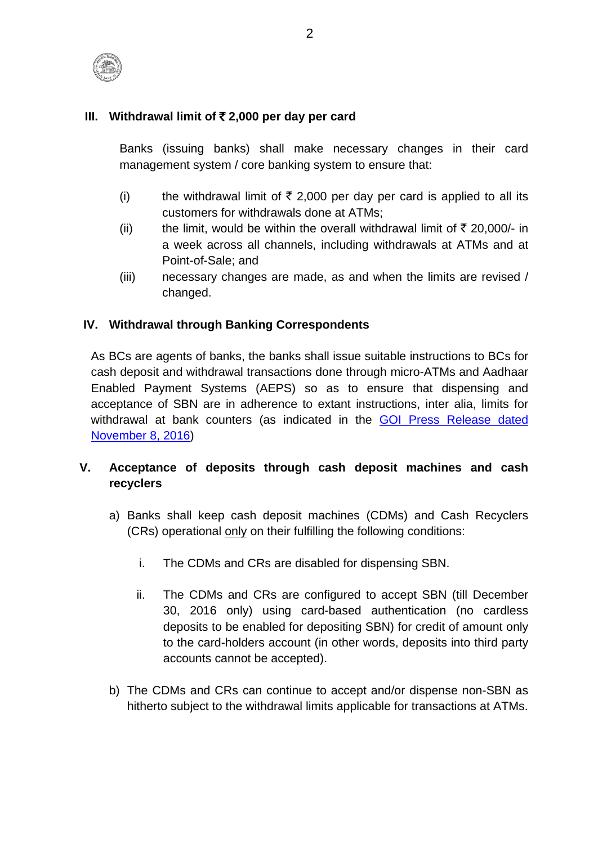

## **III. Withdrawal limit of** ` **2,000 per day per card**

Banks (issuing banks) shall make necessary changes in their card management system / core banking system to ensure that:

- (i) the withdrawal limit of  $\bar{\tau}$  2,000 per day per card is applied to all its customers for withdrawals done at ATMs;
- (ii) the limit, would be within the overall withdrawal limit of  $\bar{\tau}$  20,000/- in a week across all channels, including withdrawals at ATMs and at Point-of-Sale; and
- (iii) necessary changes are made, as and when the limits are revised / changed.

## **IV. Withdrawal through Banking Correspondents**

As BCs are agents of banks, the banks shall issue suitable instructions to BCs for cash deposit and withdrawal transactions done through micro-ATMs and Aadhaar Enabled Payment Systems (AEPS) so as to ensure that dispensing and acceptance of SBN are in adherence to extant instructions, inter alia, limits for withdrawal at bank counters (as indicated in the [GOI Press Release dated](http://rbidocs.rbi.org.in/rdocs/content/pdfs/NOTI115101116_AN.pdf)  [November 8, 2016\)](http://rbidocs.rbi.org.in/rdocs/content/pdfs/NOTI115101116_AN.pdf)

# **V. Acceptance of deposits through cash deposit machines and cash recyclers**

- a) Banks shall keep cash deposit machines (CDMs) and Cash Recyclers (CRs) operational only on their fulfilling the following conditions:
	- i. The CDMs and CRs are disabled for dispensing SBN.
	- ii. The CDMs and CRs are configured to accept SBN (till December 30, 2016 only) using card-based authentication (no cardless deposits to be enabled for depositing SBN) for credit of amount only to the card-holders account (in other words, deposits into third party accounts cannot be accepted).
- b) The CDMs and CRs can continue to accept and/or dispense non-SBN as hitherto subject to the withdrawal limits applicable for transactions at ATMs.